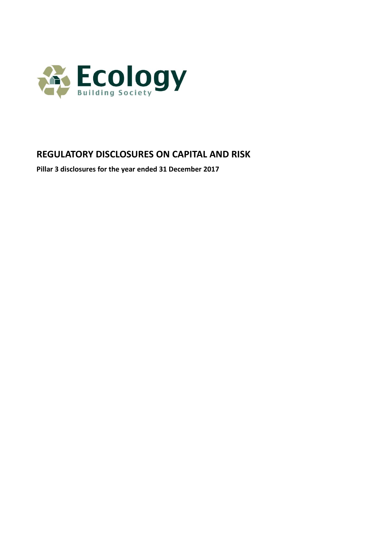

# **REGULATORY DISCLOSURES ON CAPITAL AND RISK**

**Pillar 3 disclosures for the year ended 31 December 2017**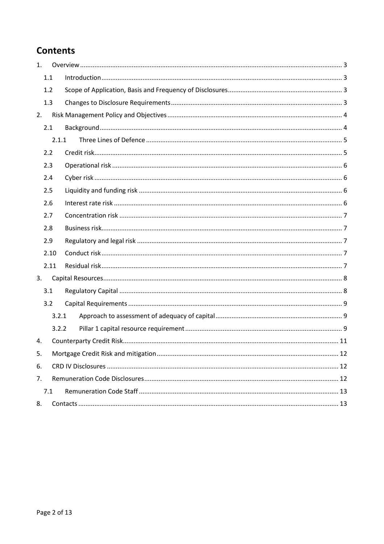# **Contents**

| 1. |       |  |
|----|-------|--|
|    | 1.1   |  |
|    | 1.2   |  |
|    | 1.3   |  |
| 2. |       |  |
|    | 2.1   |  |
|    | 2.1.1 |  |
|    | 2.2   |  |
|    | 2.3   |  |
|    | 2.4   |  |
|    | 2.5   |  |
|    | 2.6   |  |
|    | 2.7   |  |
|    | 2.8   |  |
|    | 2.9   |  |
|    | 2.10  |  |
|    | 2.11  |  |
| 3. |       |  |
|    | 3.1   |  |
|    | 3.2   |  |
|    | 3.2.1 |  |
|    | 3.2.2 |  |
| 4. |       |  |
| 5. |       |  |
| 6. |       |  |
| 7. |       |  |
|    | 7.1   |  |
| 8. |       |  |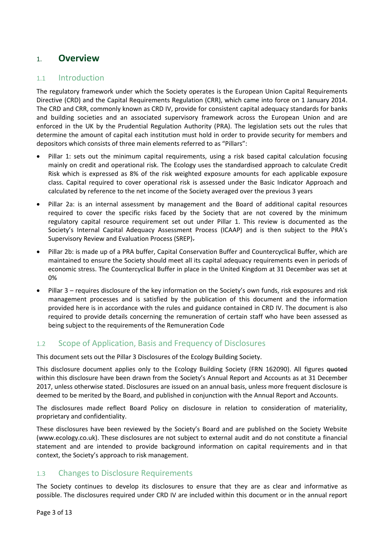## 1. **Overview**

### 1.1 Introduction

The regulatory framework under which the Society operates is the European Union Capital Requirements Directive (CRD) and the Capital Requirements Regulation (CRR), which came into force on 1 January 2014. The CRD and CRR, commonly known as CRD IV, provide for consistent capital adequacy standards for banks and building societies and an associated supervisory framework across the European Union and are enforced in the UK by the Prudential Regulation Authority (PRA). The legislation sets out the rules that determine the amount of capital each institution must hold in order to provide security for members and depositors which consists of three main elements referred to as "Pillars":

- Pillar 1: sets out the minimum capital requirements, using a risk based capital calculation focusing mainly on credit and operational risk. The Ecology uses the standardised approach to calculate Credit Risk which is expressed as 8% of the risk weighted exposure amounts for each applicable exposure class. Capital required to cover operational risk is assessed under the Basic Indicator Approach and calculated by reference to the net income of the Society averaged over the previous 3 years
- Pillar 2a: is an internal assessment by management and the Board of additional capital resources required to cover the specific risks faced by the Society that are not covered by the minimum regulatory capital resource requirement set out under Pillar 1. This review is documented as the Society's Internal Capital Adequacy Assessment Process (ICAAP) and is then subject to the PRA's Supervisory Review and Evaluation Process (SREP).
- Pillar 2b: is made up of a PRA buffer, Capital Conservation Buffer and Countercyclical Buffer, which are maintained to ensure the Society should meet all its capital adequacy requirements even in periods of economic stress. The Countercyclical Buffer in place in the United Kingdom at 31 December was set at 0%
- Pillar 3 requires disclosure of the key information on the Society's own funds, risk exposures and risk management processes and is satisfied by the publication of this document and the information provided here is in accordance with the rules and guidance contained in CRD IV. The document is also required to provide details concerning the remuneration of certain staff who have been assessed as being subject to the requirements of the Remuneration Code

### 1.2 Scope of Application, Basis and Frequency of Disclosures

This document sets out the Pillar 3 Disclosures of the Ecology Building Society.

This disclosure document applies only to the Ecology Building Society (FRN 162090). All figures <del>quoted</del> within this disclosure have been drawn from the Society's Annual Report and Accounts as at 31 December 2017, unless otherwise stated. Disclosures are issued on an annual basis, unless more frequent disclosure is deemed to be merited by the Board, and published in conjunction with the Annual Report and Accounts.

The disclosures made reflect Board Policy on disclosure in relation to consideration of materiality, proprietary and confidentiality.

These disclosures have been reviewed by the Society's Board and are published on the Society Website [\(www.ecology.co.uk\)](http://www.ecology.co.uk/). These disclosures are not subject to external audit and do not constitute a financial statement and are intended to provide background information on capital requirements and in that context, the Society's approach to risk management.

#### 1.3 Changes to Disclosure Requirements

The Society continues to develop its disclosures to ensure that they are as clear and informative as possible. The disclosures required under CRD IV are included within this document or in the annual report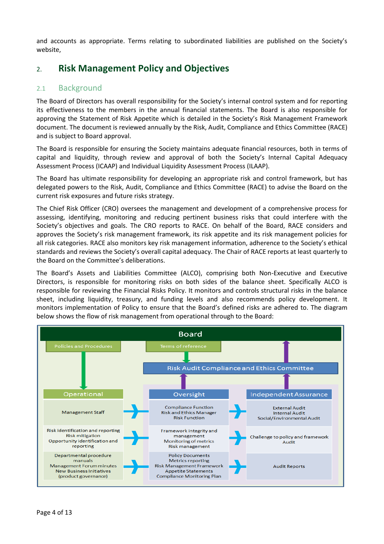and accounts as appropriate. Terms relating to subordinated liabilities are published on the Society's website,

# 2. **Risk Management Policy and Objectives**

### 2.1 Background

The Board of Directors has overall responsibility for the Society's internal control system and for reporting its effectiveness to the members in the annual financial statements. The Board is also responsible for approving the Statement of Risk Appetite which is detailed in the Society's Risk Management Framework document. The document is reviewed annually by the Risk, Audit, Compliance and Ethics Committee (RACE) and is subject to Board approval.

The Board is responsible for ensuring the Society maintains adequate financial resources, both in terms of capital and liquidity, through review and approval of both the Society's Internal Capital Adequacy Assessment Process (ICAAP) and Individual Liquidity Assessment Process (ILAAP).

The Board has ultimate responsibility for developing an appropriate risk and control framework, but has delegated powers to the Risk, Audit, Compliance and Ethics Committee (RACE) to advise the Board on the current risk exposures and future risks strategy.

The Chief Risk Officer (CRO) oversees the management and development of a comprehensive process for assessing, identifying, monitoring and reducing pertinent business risks that could interfere with the Society's objectives and goals. The CRO reports to RACE. On behalf of the Board, RACE considers and approves the Society's risk management framework, its risk appetite and its risk management policies for all risk categories. RACE also monitors key risk management information, adherence to the Society's ethical standards and reviews the Society's overall capital adequacy. The Chair of RACE reports at least quarterly to the Board on the Committee's deliberations.

The Board's Assets and Liabilities Committee (ALCO), comprising both Non-Executive and Executive Directors, is responsible for monitoring risks on both sides of the balance sheet. Specifically ALCO is responsible for reviewing the Financial Risks Policy. It monitors and controls structural risks in the balance sheet, including liquidity, treasury, and funding levels and also recommends policy development. It monitors implementation of Policy to ensure that the Board's defined risks are adhered to. The diagram below shows the flow of risk management from operational through to the Board:

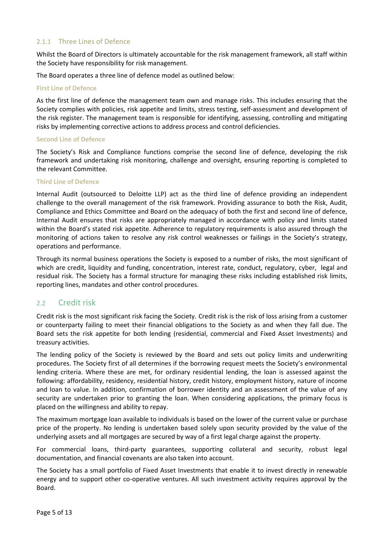#### 2.1.1 Three Lines of Defence

Whilst the Board of Directors is ultimately accountable for the risk management framework, all staff within the Society have responsibility for risk management.

The Board operates a three line of defence model as outlined below:

#### **First Line of Defence**

As the first line of defence the management team own and manage risks. This includes ensuring that the Society complies with policies, risk appetite and limits, stress testing, self-assessment and development of the risk register. The management team is responsible for identifying, assessing, controlling and mitigating risks by implementing corrective actions to address process and control deficiencies.

#### **Second Line of Defence**

The Society's Risk and Compliance functions comprise the second line of defence, developing the risk framework and undertaking risk monitoring, challenge and oversight, ensuring reporting is completed to the relevant Committee.

#### **Third Line of Defence**

Internal Audit (outsourced to Deloitte LLP) act as the third line of defence providing an independent challenge to the overall management of the risk framework. Providing assurance to both the Risk, Audit, Compliance and Ethics Committee and Board on the adequacy of both the first and second line of defence, Internal Audit ensures that risks are appropriately managed in accordance with policy and limits stated within the Board's stated risk appetite. Adherence to regulatory requirements is also assured through the monitoring of actions taken to resolve any risk control weaknesses or failings in the Society's strategy, operations and performance.

Through its normal business operations the Society is exposed to a number of risks, the most significant of which are credit, liquidity and funding, concentration, interest rate, conduct, regulatory, cyber, legal and residual risk. The Society has a formal structure for managing these risks including established risk limits, reporting lines, mandates and other control procedures.

#### 2.2 Credit risk

Credit risk is the most significant risk facing the Society. Credit risk is the risk of loss arising from a customer or counterparty failing to meet their financial obligations to the Society as and when they fall due. The Board sets the risk appetite for both lending (residential, commercial and Fixed Asset Investments) and treasury activities.

The lending policy of the Society is reviewed by the Board and sets out policy limits and underwriting procedures. The Society first of all determines if the borrowing request meets the Society's environmental lending criteria. Where these are met, for ordinary residential lending, the loan is assessed against the following: affordability, residency, residential history, credit history, employment history, nature of income and loan to value. In addition, confirmation of borrower identity and an assessment of the value of any security are undertaken prior to granting the loan. When considering applications, the primary focus is placed on the willingness and ability to repay.

The maximum mortgage loan available to individuals is based on the lower of the current value or purchase price of the property. No lending is undertaken based solely upon security provided by the value of the underlying assets and all mortgages are secured by way of a first legal charge against the property.

For commercial loans, third-party guarantees, supporting collateral and security, robust legal documentation, and financial covenants are also taken into account.

The Society has a small portfolio of Fixed Asset Investments that enable it to invest directly in renewable energy and to support other co-operative ventures. All such investment activity requires approval by the Board.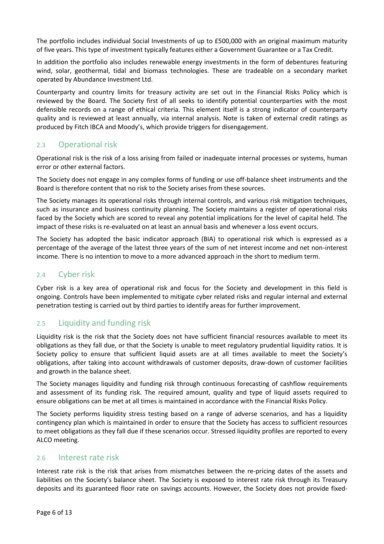The portfolio includes individual Social Investments of up to £500,000 with an original maximum maturity of five years. This type of investment typically features either a Government Guarantee or a Tax Credit.

In addition the portfolio also includes renewable energy investments in the form of debentures featuring wind, solar, geothermal, tidal and biomass technologies. These are tradeable on a secondary market operated by Abundance Investment Ltd.

Counterparty and country limits for treasury activity are set out in the Financial Risks Policy which is reviewed by the Board. The Society first of all seeks to identify potential counterparties with the most defensible records on a range of ethical criteria. This element itself is a strong indicator of counterparty quality and is reviewed at least annually, via internal analysis. Note is taken of external credit ratings as produced by Fitch IBCA and Moody's, which provide triggers for disengagement.

#### 2.3 Operational risk

Operational risk is the risk of a loss arising from failed or inadequate internal processes or systems, human error or other external factors.

The Society does not engage in any complex forms of funding or use off-balance sheet instruments and the Board is therefore content that no risk to the Society arises from these sources.

The Society manages its operational risks through internal controls, and various risk mitigation techniques, such as insurance and business continuity planning. The Society maintains a register of operational risks faced by the Society which are scored to reveal any potential implications for the level of capital held. The impact of these risks is re-evaluated on at least an annual basis and whenever a loss event occurs.

The Society has adopted the basic indicator approach (BIA) to operational risk which is expressed as a percentage of the average of the latest three years of the sum of net interest income and net non-interest income. There is no intention to move to a more advanced approach in the short to medium term.

#### 2.4 Cyber risk

Cyber risk is a key area of operational risk and focus for the Society and development in this field is ongoing. Controls have been implemented to mitigate cyber related risks and regular internal and external penetration testing is carried out by third parties to identify areas for further improvement.

### 2.5 Liquidity and funding risk

Liquidity risk is the risk that the Society does not have sufficient financial resources available to meet its obligations as they fall due, or that the Society is unable to meet regulatory prudential liquidity ratios. It is Society policy to ensure that sufficient liquid assets are at all times available to meet the Society's obligations, after taking into account withdrawals of customer deposits, draw-down of customer facilities and growth in the balance sheet.

The Society manages liquidity and funding risk through continuous forecasting of cashflow requirements and assessment of its funding risk. The required amount, quality and type of liquid assets required to ensure obligations can be met at all times is maintained in accordance with the Financial Risks Policy.

The Society performs liquidity stress testing based on a range of adverse scenarios, and has a liquidity contingency plan which is maintained in order to ensure that the Society has access to sufficient resources to meet obligations as they fall due if these scenarios occur. Stressed liquidity profiles are reported to every ALCO meeting.

#### 2.6 Interest rate risk

Interest rate risk is the risk that arises from mismatches between the re-pricing dates of the assets and liabilities on the Society's balance sheet. The Society is exposed to interest rate risk through its Treasury deposits and its guaranteed floor rate on savings accounts. However, the Society does not provide fixed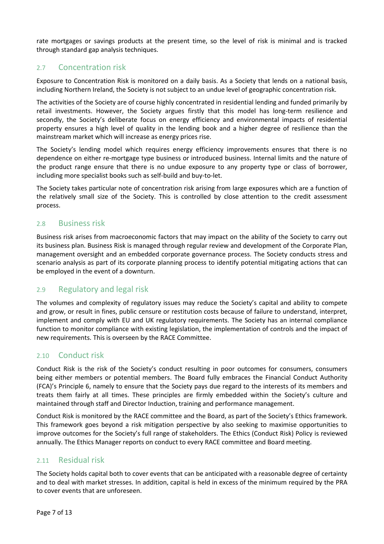rate mortgages or savings products at the present time, so the level of risk is minimal and is tracked through standard gap analysis techniques.

#### 2.7 Concentration risk

Exposure to Concentration Risk is monitored on a daily basis. As a Society that lends on a national basis, including Northern Ireland, the Society is not subject to an undue level of geographic concentration risk.

The activities of the Society are of course highly concentrated in residential lending and funded primarily by retail investments. However, the Society argues firstly that this model has long-term resilience and secondly, the Society's deliberate focus on energy efficiency and environmental impacts of residential property ensures a high level of quality in the lending book and a higher degree of resilience than the mainstream market which will increase as energy prices rise.

The Society's lending model which requires energy efficiency improvements ensures that there is no dependence on either re-mortgage type business or introduced business. Internal limits and the nature of the product range ensure that there is no undue exposure to any property type or class of borrower, including more specialist books such as self-build and buy-to-let.

The Society takes particular note of concentration risk arising from large exposures which are a function of the relatively small size of the Society. This is controlled by close attention to the credit assessment process.

#### 2.8 Business risk

Business risk arises from macroeconomic factors that may impact on the ability of the Society to carry out its business plan. Business Risk is managed through regular review and development of the Corporate Plan, management oversight and an embedded corporate governance process. The Society conducts stress and scenario analysis as part of its corporate planning process to identify potential mitigating actions that can be employed in the event of a downturn.

### 2.9 Regulatory and legal risk

The volumes and complexity of regulatory issues may reduce the Society's capital and ability to compete and grow, or result in fines, public censure or restitution costs because of failure to understand, interpret, implement and comply with EU and UK regulatory requirements. The Society has an internal compliance function to monitor compliance with existing legislation, the implementation of controls and the impact of new requirements. This is overseen by the RACE Committee.

#### 2.10 Conduct risk

Conduct Risk is the risk of the Society's conduct resulting in poor outcomes for consumers, consumers being either members or potential members. The Board fully embraces the Financial Conduct Authority (FCA)'s Principle 6, namely to ensure that the Society pays due regard to the interests of its members and treats them fairly at all times. These principles are firmly embedded within the Society's culture and maintained through staff and Director Induction, training and performance management.

Conduct Risk is monitored by the RACE committee and the Board, as part of the Society's Ethics framework. This framework goes beyond a risk mitigation perspective by also seeking to maximise opportunities to improve outcomes for the Society's full range of stakeholders. The Ethics (Conduct Risk) Policy is reviewed annually. The Ethics Manager reports on conduct to every RACE committee and Board meeting.

#### 2.11 Residual risk

The Society holds capital both to cover events that can be anticipated with a reasonable degree of certainty and to deal with market stresses. In addition, capital is held in excess of the minimum required by the PRA to cover events that are unforeseen.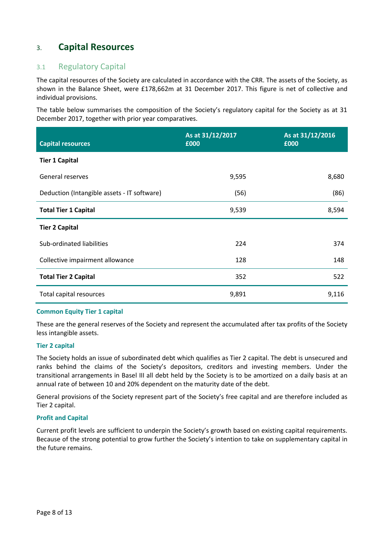## 3. **Capital Resources**

### 3.1 Regulatory Capital

The capital resources of the Society are calculated in accordance with the CRR. The assets of the Society, as shown in the Balance Sheet, were £178,662m at 31 December 2017. This figure is net of collective and individual provisions.

The table below summarises the composition of the Society's regulatory capital for the Society as at 31 December 2017, together with prior year comparatives.

| <b>Capital resources</b>                    | As at 31/12/2017<br>£000 | As at 31/12/2016<br>£000 |
|---------------------------------------------|--------------------------|--------------------------|
| <b>Tier 1 Capital</b>                       |                          |                          |
| General reserves                            | 9,595                    | 8,680                    |
| Deduction (Intangible assets - IT software) | (56)                     | (86)                     |
| <b>Total Tier 1 Capital</b>                 | 9,539                    | 8,594                    |
| <b>Tier 2 Capital</b>                       |                          |                          |
| Sub-ordinated liabilities                   | 224                      | 374                      |
| Collective impairment allowance             | 128                      | 148                      |
| <b>Total Tier 2 Capital</b>                 | 352                      | 522                      |
| Total capital resources                     | 9,891                    | 9,116                    |

#### **Common Equity Tier 1 capital**

These are the general reserves of the Society and represent the accumulated after tax profits of the Society less intangible assets.

#### **Tier 2 capital**

The Society holds an issue of subordinated debt which qualifies as Tier 2 capital. The debt is unsecured and ranks behind the claims of the Society's depositors, creditors and investing members. Under the transitional arrangements in Basel III all debt held by the Society is to be amortized on a daily basis at an annual rate of between 10 and 20% dependent on the maturity date of the debt.

General provisions of the Society represent part of the Society's free capital and are therefore included as Tier 2 capital.

#### **Profit and Capital**

Current profit levels are sufficient to underpin the Society's growth based on existing capital requirements. Because of the strong potential to grow further the Society's intention to take on supplementary capital in the future remains.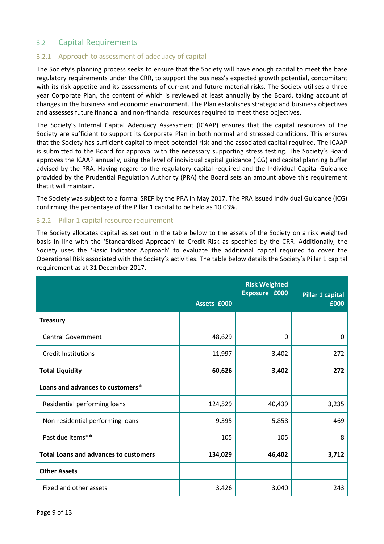### 3.2 Capital Requirements

#### 3.2.1 Approach to assessment of adequacy of capital

The Society's planning process seeks to ensure that the Society will have enough capital to meet the base regulatory requirements under the CRR, to support the business's expected growth potential, concomitant with its risk appetite and its assessments of current and future material risks. The Society utilises a three year Corporate Plan, the content of which is reviewed at least annually by the Board, taking account of changes in the business and economic environment. The Plan establishes strategic and business objectives and assesses future financial and non-financial resources required to meet these objectives.

The Society's Internal Capital Adequacy Assessment (ICAAP) ensures that the capital resources of the Society are sufficient to support its Corporate Plan in both normal and stressed conditions. This ensures that the Society has sufficient capital to meet potential risk and the associated capital required. The ICAAP is submitted to the Board for approval with the necessary supporting stress testing. The Society's Board approves the ICAAP annually, using the level of individual capital guidance (ICG) and capital planning buffer advised by the PRA. Having regard to the regulatory capital required and the Individual Capital Guidance provided by the Prudential Regulation Authority (PRA) the Board sets an amount above this requirement that it will maintain.

The Society was subject to a formal SREP by the PRA in May 2017. The PRA issued Individual Guidance (ICG) confirming the percentage of the Pillar 1 capital to be held as 10.03%.

#### 3.2.2 Pillar 1 capital resource requirement

The Society allocates capital as set out in the table below to the assets of the Society on a risk weighted basis in line with the 'Standardised Approach' to Credit Risk as specified by the CRR. Additionally, the Society uses the 'Basic Indicator Approach' to evaluate the additional capital required to cover the Operational Risk associated with the Society's activities. The table below details the Society's Pillar 1 capital requirement as at 31 December 2017.

|                                              |             | <b>Risk Weighted</b><br>Exposure £000 | Pillar 1 capital |
|----------------------------------------------|-------------|---------------------------------------|------------------|
|                                              | Assets £000 |                                       | £000             |
| <b>Treasury</b>                              |             |                                       |                  |
| <b>Central Government</b>                    | 48,629      | 0                                     | 0                |
| <b>Credit Institutions</b>                   | 11,997      | 3,402                                 | 272              |
| <b>Total Liquidity</b>                       | 60,626      | 3,402                                 | 272              |
| Loans and advances to customers*             |             |                                       |                  |
| Residential performing loans                 | 124,529     | 40,439                                | 3,235            |
| Non-residential performing loans             | 9,395       | 5,858                                 | 469              |
| Past due items**                             | 105         | 105                                   | 8                |
| <b>Total Loans and advances to customers</b> | 134,029     | 46,402                                | 3,712            |
| <b>Other Assets</b>                          |             |                                       |                  |
| Fixed and other assets                       | 3,426       | 3,040                                 | 243              |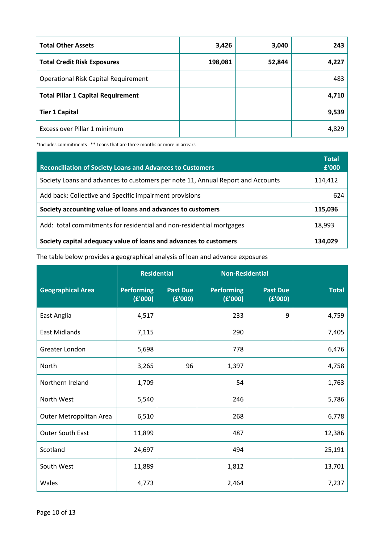| <b>Total Other Assets</b>                   | 3,426   | 3,040  | 243   |
|---------------------------------------------|---------|--------|-------|
| <b>Total Credit Risk Exposures</b>          | 198,081 | 52,844 | 4,227 |
| <b>Operational Risk Capital Requirement</b> |         |        | 483   |
| <b>Total Pillar 1 Capital Requirement</b>   |         |        | 4,710 |
| <b>Tier 1 Capital</b>                       |         |        | 9,539 |
| Excess over Pillar 1 minimum                |         |        | 4,829 |

\*Includes commitments \*\* Loans that are three months or more in arrears

| <b>Reconciliation of Society Loans and Advances to Customers</b>                | <b>Total</b><br>£'000 |
|---------------------------------------------------------------------------------|-----------------------|
| Society Loans and advances to customers per note 11, Annual Report and Accounts | 114,412               |
| Add back: Collective and Specific impairment provisions                         | 624                   |
| Society accounting value of loans and advances to customers                     | 115,036               |
| Add: total commitments for residential and non-residential mortgages            | 18,993                |
| Society capital adequacy value of loans and advances to customers               | 134,029               |

### The table below provides a geographical analysis of loan and advance exposures

|                          | <b>Residential</b>           |                            | <b>Non-Residential</b>       |                            |              |
|--------------------------|------------------------------|----------------------------|------------------------------|----------------------------|--------------|
| <b>Geographical Area</b> | <b>Performing</b><br>(E'000) | <b>Past Due</b><br>(E'000) | <b>Performing</b><br>(E'000) | <b>Past Due</b><br>(E'000) | <b>Total</b> |
| East Anglia              | 4,517                        |                            | 233                          | 9                          | 4,759        |
| <b>East Midlands</b>     | 7,115                        |                            | 290                          |                            | 7,405        |
| Greater London           | 5,698                        |                            | 778                          |                            | 6,476        |
| North                    | 3,265                        | 96                         | 1,397                        |                            | 4,758        |
| Northern Ireland         | 1,709                        |                            | 54                           |                            | 1,763        |
| North West               | 5,540                        |                            | 246                          |                            | 5,786        |
| Outer Metropolitan Area  | 6,510                        |                            | 268                          |                            | 6,778        |
| <b>Outer South East</b>  | 11,899                       |                            | 487                          |                            | 12,386       |
| Scotland                 | 24,697                       |                            | 494                          |                            | 25,191       |
| South West               | 11,889                       |                            | 1,812                        |                            | 13,701       |
| Wales                    | 4,773                        |                            | 2,464                        |                            | 7,237        |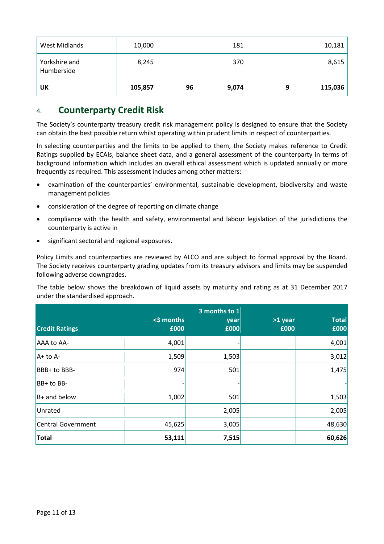| <b>West Midlands</b>        | 10,000  |    | 181   |   | 10,181  |
|-----------------------------|---------|----|-------|---|---------|
| Yorkshire and<br>Humberside | 8,245   |    | 370   |   | 8,615   |
| UK                          | 105,857 | 96 | 9,074 | 9 | 115,036 |

## 4. **Counterparty Credit Risk**

The Society's counterparty treasury credit risk management policy is designed to ensure that the Society can obtain the best possible return whilst operating within prudent limits in respect of counterparties.

In selecting counterparties and the limits to be applied to them, the Society makes reference to Credit Ratings supplied by ECAIs, balance sheet data, and a general assessment of the counterparty in terms of background information which includes an overall ethical assessment which is updated annually or more frequently as required. This assessment includes among other matters:

- examination of the counterparties' environmental, sustainable development, biodiversity and waste management policies
- consideration of the degree of reporting on climate change
- compliance with the health and safety, environmental and labour legislation of the jurisdictions the counterparty is active in
- significant sectoral and regional exposures.

Policy Limits and counterparties are reviewed by ALCO and are subject to formal approval by the Board. The Society receives counterparty grading updates from its treasury advisors and limits may be suspended following adverse downgrades.

The table below shows the breakdown of liquid assets by maturity and rating as at 31 December 2017 under the standardised approach.

| <b>Credit Ratings</b> | <3 months<br>£000 | 3 months to 1<br>year<br>£000 | >1 year<br>£000 | <b>Total</b><br>£000 |
|-----------------------|-------------------|-------------------------------|-----------------|----------------------|
| AAA to AA-            | 4,001             |                               |                 | 4,001                |
| A+ to A-              | 1,509             | 1,503                         |                 | 3,012                |
| BBB+ to BBB-          | 974               | 501                           |                 | 1,475                |
| BB+ to BB-            |                   |                               |                 |                      |
| $B+$ and below        | 1,002             | 501                           |                 | 1,503                |
| Unrated               |                   | 2,005                         |                 | 2,005                |
| Central Government    | 45,625            | 3,005                         |                 | 48,630               |
| <b>Total</b>          | 53,111            | 7,515                         |                 | 60,626               |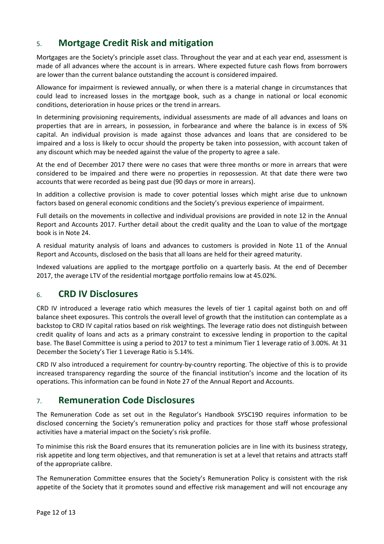# 5. **Mortgage Credit Risk and mitigation**

Mortgages are the Society's principle asset class. Throughout the year and at each year end, assessment is made of all advances where the account is in arrears. Where expected future cash flows from borrowers are lower than the current balance outstanding the account is considered impaired.

Allowance for impairment is reviewed annually, or when there is a material change in circumstances that could lead to increased losses in the mortgage book, such as a change in national or local economic conditions, deterioration in house prices or the trend in arrears.

In determining provisioning requirements, individual assessments are made of all advances and loans on properties that are in arrears, in possession, in forbearance and where the balance is in excess of 5% capital. An individual provision is made against those advances and loans that are considered to be impaired and a loss is likely to occur should the property be taken into possession, with account taken of any discount which may be needed against the value of the property to agree a sale.

At the end of December 2017 there were no cases that were three months or more in arrears that were considered to be impaired and there were no properties in repossession. At that date there were two accounts that were recorded as being past due (90 days or more in arrears).

In addition a collective provision is made to cover potential losses which might arise due to unknown factors based on general economic conditions and the Society's previous experience of impairment.

Full details on the movements in collective and individual provisions are provided in note 12 in the Annual Report and Accounts 2017. Further detail about the credit quality and the Loan to value of the mortgage book is in Note 24.

A residual maturity analysis of loans and advances to customers is provided in Note 11 of the Annual Report and Accounts, disclosed on the basis that all loans are held for their agreed maturity.

Indexed valuations are applied to the mortgage portfolio on a quarterly basis. At the end of December 2017, the average LTV of the residential mortgage portfolio remains low at 45.02%.

## 6. **CRD IV Disclosures**

CRD IV introduced a leverage ratio which measures the levels of tier 1 capital against both on and off balance sheet exposures. This controls the overall level of growth that the institution can contemplate as a backstop to CRD IV capital ratios based on risk weightings. The leverage ratio does not distinguish between credit quality of loans and acts as a primary constraint to excessive lending in proportion to the capital base. The Basel Committee is using a period to 2017 to test a minimum Tier 1 leverage ratio of 3.00%. At 31 December the Society's Tier 1 Leverage Ratio is 5.14%.

CRD IV also introduced a requirement for country-by-country reporting. The objective of this is to provide increased transparency regarding the source of the financial institution's income and the location of its operations. This information can be found in Note 27 of the Annual Report and Accounts.

## 7. **Remuneration Code Disclosures**

The Remuneration Code as set out in the Regulator's Handbook SYSC19D requires information to be disclosed concerning the Society's remuneration policy and practices for those staff whose professional activities have a material impact on the Society's risk profile.

To minimise this risk the Board ensures that its remuneration policies are in line with its business strategy, risk appetite and long term objectives, and that remuneration is set at a level that retains and attracts staff of the appropriate calibre.

The Remuneration Committee ensures that the Society's Remuneration Policy is consistent with the risk appetite of the Society that it promotes sound and effective risk management and will not encourage any